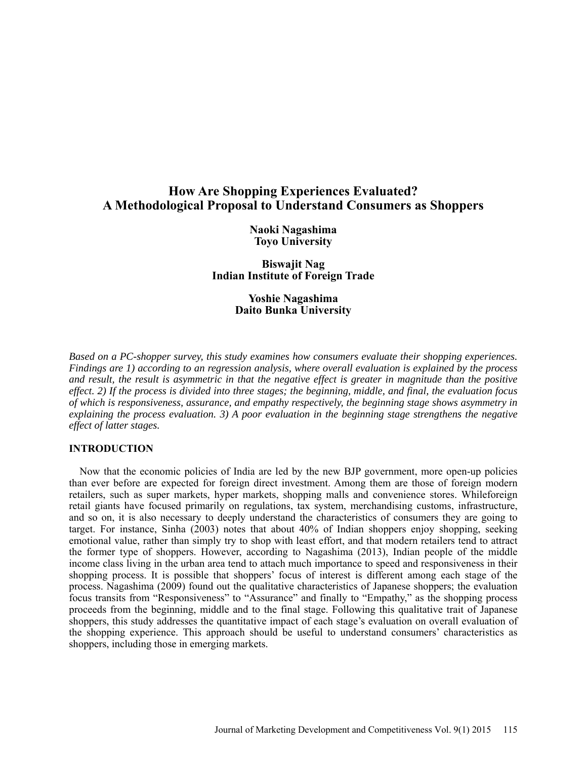# **How Are Shopping Experiences Evaluated? A Methodological Proposal to Understand Consumers as Shoppers**

**Naoki Nagashima Toyo University** 

**Biswajit Nag Indian Institute of Foreign Trade** 

> **Yoshie Nagashima Daito Bunka University**

*Based on a PC-shopper survey, this study examines how consumers evaluate their shopping experiences. Findings are 1) according to an regression analysis, where overall evaluation is explained by the process and result, the result is asymmetric in that the negative effect is greater in magnitude than the positive effect. 2) If the process is divided into three stages; the beginning, middle, and final, the evaluation focus of which is responsiveness, assurance, and empathy respectively, the beginning stage shows asymmetry in explaining the process evaluation. 3) A poor evaluation in the beginning stage strengthens the negative effect of latter stages.* 

## **INTRODUCTION**

 Now that the economic policies of India are led by the new BJP government, more open-up policies than ever before are expected for foreign direct investment. Among them are those of foreign modern retailers, such as super markets, hyper markets, shopping malls and convenience stores. Whileforeign retail giants have focused primarily on regulations, tax system, merchandising customs, infrastructure, and so on, it is also necessary to deeply understand the characteristics of consumers they are going to target. For instance, Sinha (2003) notes that about 40% of Indian shoppers enjoy shopping, seeking emotional value, rather than simply try to shop with least effort, and that modern retailers tend to attract the former type of shoppers. However, according to Nagashima (2013), Indian people of the middle income class living in the urban area tend to attach much importance to speed and responsiveness in their shopping process. It is possible that shoppers' focus of interest is different among each stage of the process. Nagashima (2009) found out the qualitative characteristics of Japanese shoppers; the evaluation focus transits from "Responsiveness" to "Assurance" and finally to "Empathy," as the shopping process proceeds from the beginning, middle and to the final stage. Following this qualitative trait of Japanese shoppers, this study addresses the quantitative impact of each stage's evaluation on overall evaluation of the shopping experience. This approach should be useful to understand consumers' characteristics as shoppers, including those in emerging markets.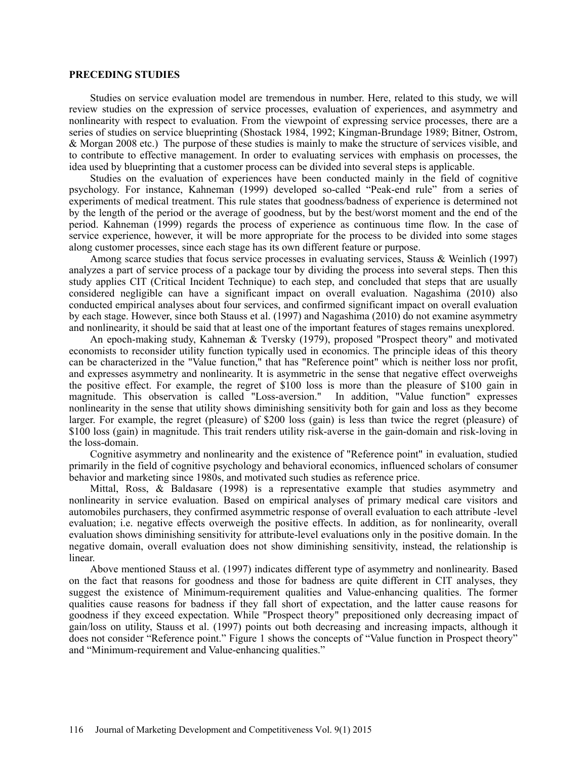#### **PRECEDING STUDIES**

Studies on service evaluation model are tremendous in number. Here, related to this study, we will review studies on the expression of service processes, evaluation of experiences, and asymmetry and nonlinearity with respect to evaluation. From the viewpoint of expressing service processes, there are a series of studies on service blueprinting (Shostack 1984, 1992; Kingman-Brundage 1989; Bitner, Ostrom, & Morgan 2008 etc.) The purpose of these studies is mainly to make the structure of services visible, and to contribute to effective management. In order to evaluating services with emphasis on processes, the idea used by blueprinting that a customer process can be divided into several steps is applicable.

Studies on the evaluation of experiences have been conducted mainly in the field of cognitive psychology. For instance, Kahneman (1999) developed so-called "Peak-end rule" from a series of experiments of medical treatment. This rule states that goodness/badness of experience is determined not by the length of the period or the average of goodness, but by the best/worst moment and the end of the period. Kahneman (1999) regards the process of experience as continuous time flow. In the case of service experience, however, it will be more appropriate for the process to be divided into some stages along customer processes, since each stage has its own different feature or purpose.

Among scarce studies that focus service processes in evaluating services, Stauss & Weinlich (1997) analyzes a part of service process of a package tour by dividing the process into several steps. Then this study applies CIT (Critical Incident Technique) to each step, and concluded that steps that are usually considered negligible can have a significant impact on overall evaluation. Nagashima (2010) also conducted empirical analyses about four services, and confirmed significant impact on overall evaluation by each stage. However, since both Stauss et al. (1997) and Nagashima (2010) do not examine asymmetry and nonlinearity, it should be said that at least one of the important features of stages remains unexplored.

An epoch-making study, Kahneman & Tversky (1979), proposed "Prospect theory" and motivated economists to reconsider utility function typically used in economics. The principle ideas of this theory can be characterized in the "Value function," that has "Reference point" which is neither loss nor profit, and expresses asymmetry and nonlinearity. It is asymmetric in the sense that negative effect overweighs the positive effect. For example, the regret of \$100 loss is more than the pleasure of \$100 gain in magnitude. This observation is called "Loss-aversion." In addition, "Value function" expresses nonlinearity in the sense that utility shows diminishing sensitivity both for gain and loss as they become larger. For example, the regret (pleasure) of \$200 loss (gain) is less than twice the regret (pleasure) of \$100 loss (gain) in magnitude. This trait renders utility risk-averse in the gain-domain and risk-loving in the loss-domain.

Cognitive asymmetry and nonlinearity and the existence of "Reference point" in evaluation, studied primarily in the field of cognitive psychology and behavioral economics, influenced scholars of consumer behavior and marketing since 1980s, and motivated such studies as reference price.

Mittal, Ross, & Baldasare (1998) is a representative example that studies asymmetry and nonlinearity in service evaluation. Based on empirical analyses of primary medical care visitors and automobiles purchasers, they confirmed asymmetric response of overall evaluation to each attribute -level evaluation; i.e. negative effects overweigh the positive effects. In addition, as for nonlinearity, overall evaluation shows diminishing sensitivity for attribute-level evaluations only in the positive domain. In the negative domain, overall evaluation does not show diminishing sensitivity, instead, the relationship is linear.

Above mentioned Stauss et al. (1997) indicates different type of asymmetry and nonlinearity. Based on the fact that reasons for goodness and those for badness are quite different in CIT analyses, they suggest the existence of Minimum-requirement qualities and Value-enhancing qualities. The former qualities cause reasons for badness if they fall short of expectation, and the latter cause reasons for goodness if they exceed expectation. While "Prospect theory" prepositioned only decreasing impact of gain/loss on utility, Stauss et al. (1997) points out both decreasing and increasing impacts, although it does not consider "Reference point." Figure 1 shows the concepts of "Value function in Prospect theory" and "Minimum-requirement and Value-enhancing qualities."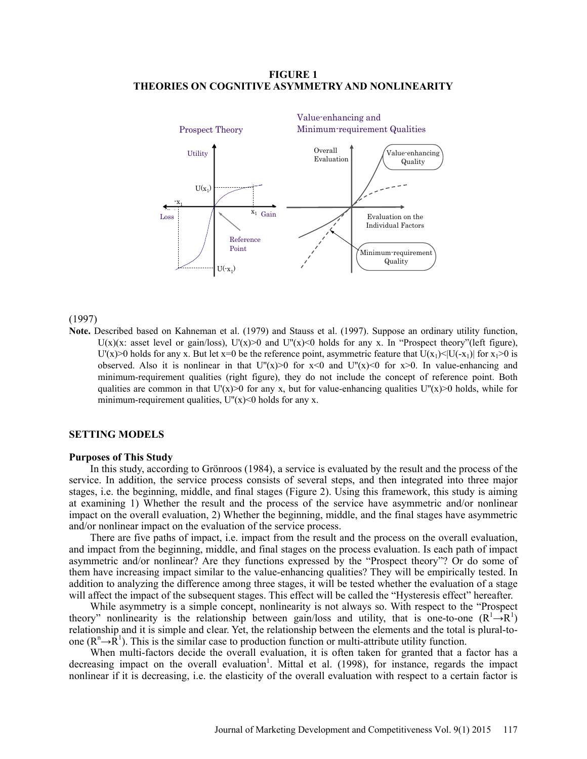## **FIGURE 1 THEORIES ON COGNITIVE ASYMMETRY AND NONLINEARITY**



## (1997)

**Note.** Described based on Kahneman et al. (1979) and Stauss et al. (1997). Suppose an ordinary utility function, U(x)(x: asset level or gain/loss), U'(x)>0 and U''(x)<0 holds for any x. In "Prospect theory"(left figure), U'(x)>0 holds for any x. But let x=0 be the reference point, asymmetric feature that  $U(x_1) \le |U(-x_1)|$  for  $x_1>0$  is observed. Also it is nonlinear in that  $U''(x) > 0$  for  $x < 0$  and  $U''(x) < 0$  for  $x > 0$ . In value-enhancing and minimum-requirement qualities (right figure), they do not include the concept of reference point. Both qualities are common in that  $U'(x) > 0$  for any x, but for value-enhancing qualities  $U''(x) > 0$  holds, while for minimum-requirement qualities,  $U''(x) \le 0$  holds for any x.

## **SETTING MODELS**

#### **Purposes of This Study**

In this study, according to Grönroos (1984), a service is evaluated by the result and the process of the service. In addition, the service process consists of several steps, and then integrated into three major stages, i.e. the beginning, middle, and final stages (Figure 2). Using this framework, this study is aiming at examining 1) Whether the result and the process of the service have asymmetric and/or nonlinear impact on the overall evaluation, 2) Whether the beginning, middle, and the final stages have asymmetric and/or nonlinear impact on the evaluation of the service process.

There are five paths of impact, i.e. impact from the result and the process on the overall evaluation, and impact from the beginning, middle, and final stages on the process evaluation. Is each path of impact asymmetric and/or nonlinear? Are they functions expressed by the "Prospect theory"? Or do some of them have increasing impact similar to the value-enhancing qualities? They will be empirically tested. In addition to analyzing the difference among three stages, it will be tested whether the evaluation of a stage will affect the impact of the subsequent stages. This effect will be called the "Hysteresis effect" hereafter.

While asymmetry is a simple concept, nonlinearity is not always so. With respect to the "Prospect theory" nonlinearity is the relationship between gain/loss and utility, that is one-to-one  $(R^1 \rightarrow R^1)$ relationship and it is simple and clear. Yet, the relationship between the elements and the total is plural-toone  $(R^n \rightarrow R^1)$ . This is the similar case to production function or multi-attribute utility function.

When multi-factors decide the overall evaluation, it is often taken for granted that a factor has a decreasing impact on the overall evaluation<sup>1</sup>. Mittal et al. (1998), for instance, regards the impact nonlinear if it is decreasing, i.e. the elasticity of the overall evaluation with respect to a certain factor is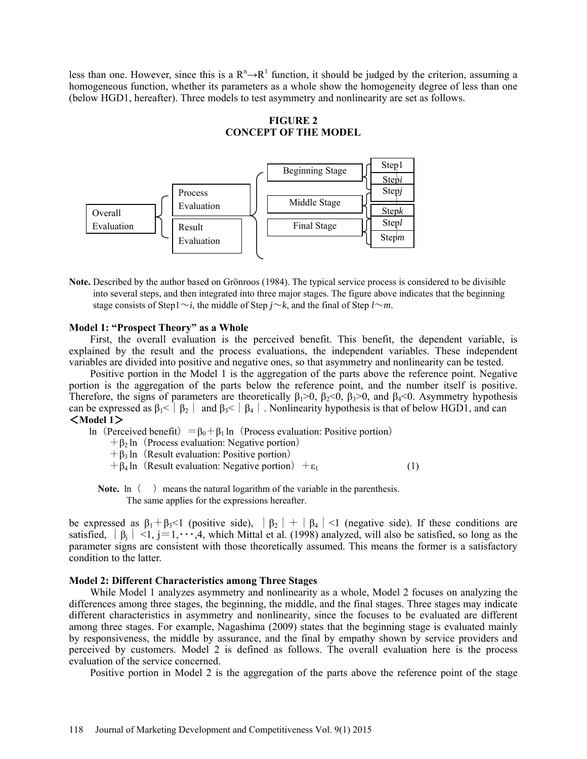less than one. However, since this is a  $R^n \rightarrow R^1$  function, it should be judged by the criterion, assuming a homogeneous function, whether its parameters as a whole show the homogeneity degree of less than one (below HGD1, hereafter). Three models to test asymmetry and nonlinearity are set as follows.

## **FIGURE 2 CONCEPT OF THE MODEL**



**Note.** Described by the author based on Grönroos (1984). The typical service process is considered to be divisible into several steps, and then integrated into three major stages. The figure above indicates that the beginning stage consists of Step1 $\sim$ *i*, the middle of Step *j* $\sim$ *k*, and the final of Step *l* $\sim$ *m*.

## **Model 1: "Prospect Theory" as a Whole**

First, the overall evaluation is the perceived benefit. This benefit, the dependent variable, is explained by the result and the process evaluations, the independent variables. These independent variables are divided into positive and negative ones, so that asymmetry and nonlinearity can be tested.

Positive portion in the Model 1 is the aggregation of the parts above the reference point. Negative portion is the aggregation of the parts below the reference point, and the number itself is positive. Therefore, the signs of parameters are theoretically  $\beta_1 > 0$ ,  $\beta_2 < 0$ ,  $\beta_3 > 0$ , and  $\beta_4 < 0$ . Asymmetry hypothesis can be expressed as  $\beta_1 < |\beta_2|$  and  $\beta_3 < |\beta_4|$ . Nonlinearity hypothesis is that of below HGD1, and can <**Model 1**>

ln (Perceived benefit) =  $\beta_0 + \beta_1$  ln (Process evaluation: Positive portion)

- $+ \beta_2$  ln (Process evaluation: Negative portion)
- $+ \beta_3$  ln (Result evaluation: Positive portion)

 $+ \beta_4$  ln (Result evaluation: Negative portion)  $+ \varepsilon_1$  (1)

**Note.**  $\ln$  ( ) means the natural logarithm of the variable in the parenthesis.

The same applies for the expressions hereafter.

be expressed as  $\beta_1 + \beta_3 < 1$  (positive side),  $|\beta_2| + |\beta_4| < 1$  (negative side). If these conditions are satisfied,  $|\beta_i|$  <1, j=1, ...,4, which Mittal et al. (1998) analyzed, will also be satisfied, so long as the parameter signs are consistent with those theoretically assumed. This means the former is a satisfactory condition to the latter.

## **Model 2: Different Characteristics among Three Stages**

While Model 1 analyzes asymmetry and nonlinearity as a whole, Model 2 focuses on analyzing the differences among three stages, the beginning, the middle, and the final stages. Three stages may indicate different characteristics in asymmetry and nonlinearity, since the focuses to be evaluated are different among three stages. For example, Nagashima (2009) states that the beginning stage is evaluated mainly by responsiveness, the middle by assurance, and the final by empathy shown by service providers and perceived by customers. Model 2 is defined as follows. The overall evaluation here is the process evaluation of the service concerned.

Positive portion in Model 2 is the aggregation of the parts above the reference point of the stage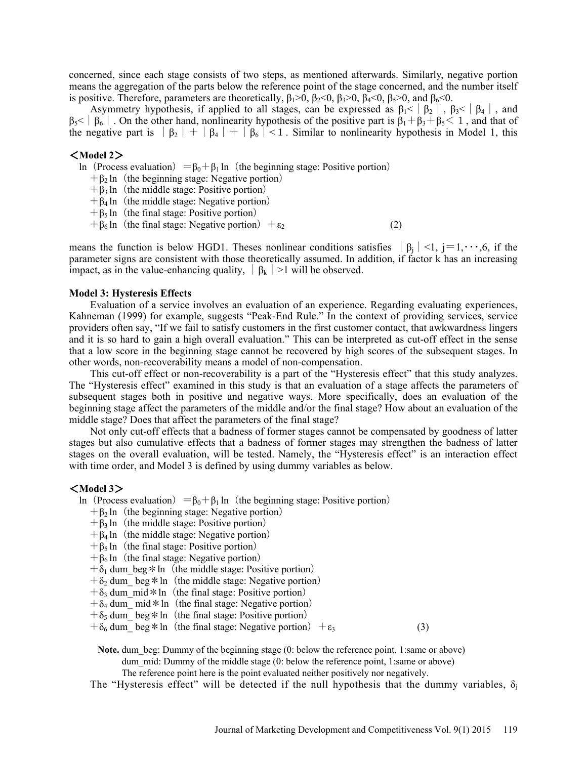concerned, since each stage consists of two steps, as mentioned afterwards. Similarly, negative portion means the aggregation of the parts below the reference point of the stage concerned, and the number itself is positive. Therefore, parameters are theoretically,  $\beta_1 > 0$ ,  $\beta_2 < 0$ ,  $\beta_3 > 0$ ,  $\beta_4 < 0$ ,  $\beta_5 > 0$ , and  $\beta_6 < 0$ .

Asymmetry hypothesis, if applied to all stages, can be expressed as  $\beta_1 < \beta_2$ ,  $\beta_3 < \beta_4$ , and  $\beta_5<|\beta_6|$ . On the other hand, nonlinearity hypothesis of the positive part is  $\beta_1+\beta_3+\beta_5<1$ , and that of the negative part is  $|\beta_2| + |\beta_4| + |\beta_6| < 1$ . Similar to nonlinearity hypothesis in Model 1, this

## <**Model 2**>

ln (Process evaluation) =  $\beta_0 + \beta_1$  ln (the beginning stage: Positive portion)

- $+ \beta_2$  ln (the beginning stage: Negative portion)
- $+ \beta_3$  ln (the middle stage: Positive portion)
- $+ \beta_4$  ln (the middle stage: Negative portion)
- $+ \beta_5$  ln (the final stage: Positive portion)
- $+ \beta_6$  ln (the final stage: Negative portion)  $+ \varepsilon_2$  (2)

means the function is below HGD1. Theses nonlinear conditions satisfies  $|\beta_i| < 1$ , j=1, ...,6, if the parameter signs are consistent with those theoretically assumed. In addition, if factor k has an increasing impact, as in the value-enhancing quality,  $|\beta_k|>1$  will be observed.

#### **Model 3: Hysteresis Effects**

Evaluation of a service involves an evaluation of an experience. Regarding evaluating experiences, Kahneman (1999) for example, suggests "Peak-End Rule." In the context of providing services, service providers often say, "If we fail to satisfy customers in the first customer contact, that awkwardness lingers and it is so hard to gain a high overall evaluation." This can be interpreted as cut-off effect in the sense that a low score in the beginning stage cannot be recovered by high scores of the subsequent stages. In other words, non-recoverability means a model of non-compensation.

This cut-off effect or non-recoverability is a part of the "Hysteresis effect" that this study analyzes. The "Hysteresis effect" examined in this study is that an evaluation of a stage affects the parameters of subsequent stages both in positive and negative ways. More specifically, does an evaluation of the beginning stage affect the parameters of the middle and/or the final stage? How about an evaluation of the middle stage? Does that affect the parameters of the final stage?

Not only cut-off effects that a badness of former stages cannot be compensated by goodness of latter stages but also cumulative effects that a badness of former stages may strengthen the badness of latter stages on the overall evaluation, will be tested. Namely, the "Hysteresis effect" is an interaction effect with time order, and Model 3 is defined by using dummy variables as below.

## <**Model 3**>

- ln (Process evaluation) =  $\beta_0 + \beta_1$  ln (the beginning stage: Positive portion)
	- $+ \beta_2$  ln (the beginning stage: Negative portion)
	- $+ \beta_3$  ln (the middle stage: Positive portion)
	- $+ \beta_4$  ln (the middle stage: Negative portion)
	- $+ \beta_5$  ln (the final stage: Positive portion)
	- $+ \beta_6$  ln (the final stage: Negative portion)
	- $+\delta_1$  dum\_beg \* ln (the middle stage: Positive portion)
	- $+\delta_2$  dum beg \* ln (the middle stage: Negative portion)
	- $+\delta_3$  dum mid \* ln (the final stage: Positive portion)
	- $+\delta_4$  dum mid \* ln (the final stage: Negative portion)
	- $+\delta_5$  dum beg \* ln (the final stage: Positive portion)

 $+\delta_6$  dum beg \* ln (the final stage: Negative portion)  $+\epsilon_3$  (3)

**Note.** dum beg: Dummy of the beginning stage (0: below the reference point, 1:same or above) dum mid: Dummy of the middle stage (0: below the reference point, 1:same or above)

The reference point here is the point evaluated neither positively nor negatively.

The "Hysteresis effect" will be detected if the null hypothesis that the dummy variables,  $\delta_i$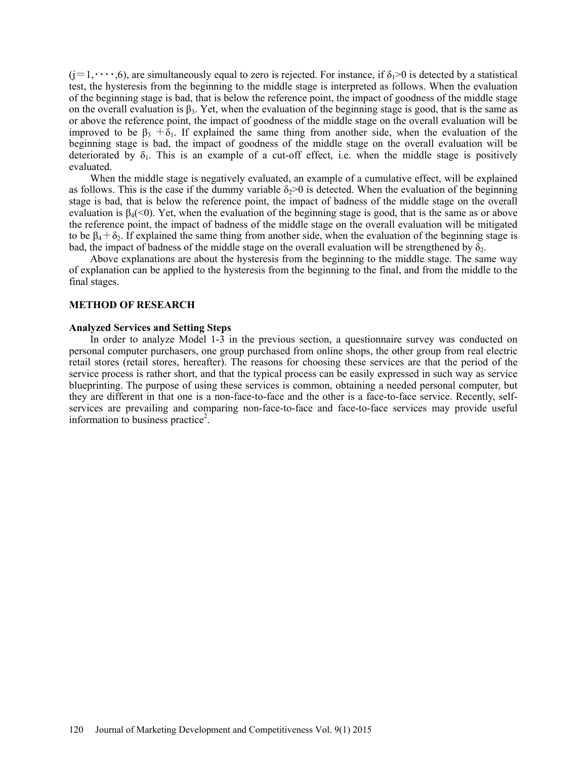$(i=1,\dots,6)$ , are simultaneously equal to zero is rejected. For instance, if  $\delta_1>0$  is detected by a statistical test, the hysteresis from the beginning to the middle stage is interpreted as follows. When the evaluation of the beginning stage is bad, that is below the reference point, the impact of goodness of the middle stage on the overall evaluation is  $\beta_3$ . Yet, when the evaluation of the beginning stage is good, that is the same as or above the reference point, the impact of goodness of the middle stage on the overall evaluation will be improved to be  $\beta_3 + \delta_1$ . If explained the same thing from another side, when the evaluation of the beginning stage is bad, the impact of goodness of the middle stage on the overall evaluation will be deteriorated by  $\delta_1$ . This is an example of a cut-off effect, i.e. when the middle stage is positively evaluated.

When the middle stage is negatively evaluated, an example of a cumulative effect, will be explained as follows. This is the case if the dummy variable  $\delta_2 > 0$  is detected. When the evaluation of the beginning stage is bad, that is below the reference point, the impact of badness of the middle stage on the overall evaluation is  $\beta_4(\leq 0)$ . Yet, when the evaluation of the beginning stage is good, that is the same as or above the reference point, the impact of badness of the middle stage on the overall evaluation will be mitigated to be  $\beta_4 + \delta_2$ . If explained the same thing from another side, when the evaluation of the beginning stage is bad, the impact of badness of the middle stage on the overall evaluation will be strengthened by  $\delta_2$ .

Above explanations are about the hysteresis from the beginning to the middle stage. The same way of explanation can be applied to the hysteresis from the beginning to the final, and from the middle to the final stages.

### **METHOD OF RESEARCH**

### **Analyzed Services and Setting Steps**

In order to analyze Model 1-3 in the previous section, a questionnaire survey was conducted on personal computer purchasers, one group purchased from online shops, the other group from real electric retail stores (retail stores, hereafter). The reasons for choosing these services are that the period of the service process is rather short, and that the typical process can be easily expressed in such way as service blueprinting. The purpose of using these services is common, obtaining a needed personal computer, but they are different in that one is a non-face-to-face and the other is a face-to-face service. Recently, selfservices are prevailing and comparing non-face-to-face and face-to-face services may provide useful information to business practice<sup>2</sup>.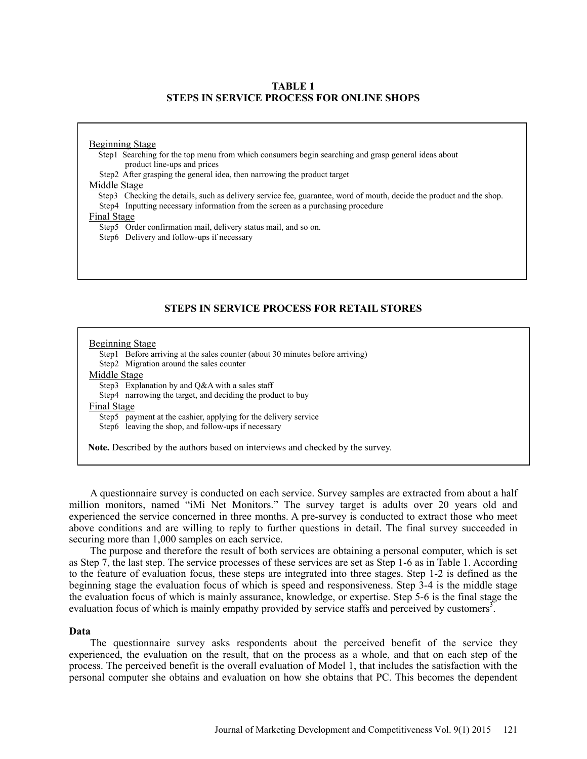## **TABLE 1 STEPS IN SERVICE PROCESS FOR ONLINE SHOPS**

## Beginning Stage

Step1 Searching for the top menu from which consumers begin searching and grasp general ideas about product line-ups and prices

Step2 After grasping the general idea, then narrowing the product target

#### Middle Stage

Step3 Checking the details, such as delivery service fee, guarantee, word of mouth, decide the product and the shop. Step4 Inputting necessary information from the screen as a purchasing procedure

#### Final Stage

Step5 Order confirmation mail, delivery status mail, and so on.

Step6 Delivery and follow-ups if necessary

## **STEPS IN SERVICE PROCESS FOR RETAIL STORES**

Beginning Stage Step1 Before arriving at the sales counter (about 30 minutes before arriving) Step2 Migration around the sales counter Middle Stage Step3 Explanation by and Q&A with a sales staff Step4 narrowing the target, and deciding the product to buy Final Stage Step5 payment at the cashier, applying for the delivery service Step6 leaving the shop, and follow-ups if necessary **Note.** Described by the authors based on interviews and checked by the survey.

A questionnaire survey is conducted on each service. Survey samples are extracted from about a half million monitors, named "iMi Net Monitors." The survey target is adults over 20 years old and experienced the service concerned in three months. A pre-survey is conducted to extract those who meet above conditions and are willing to reply to further questions in detail. The final survey succeeded in securing more than 1,000 samples on each service.

The purpose and therefore the result of both services are obtaining a personal computer, which is set as Step 7, the last step. The service processes of these services are set as Step 1-6 as in Table 1. According to the feature of evaluation focus, these steps are integrated into three stages. Step 1-2 is defined as the beginning stage the evaluation focus of which is speed and responsiveness. Step 3-4 is the middle stage the evaluation focus of which is mainly assurance, knowledge, or expertise. Step 5-6 is the final stage the evaluation focus of which is mainly empathy provided by service staffs and perceived by customers<sup>3</sup>.

## **Data**

The questionnaire survey asks respondents about the perceived benefit of the service they experienced, the evaluation on the result, that on the process as a whole, and that on each step of the process. The perceived benefit is the overall evaluation of Model 1, that includes the satisfaction with the personal computer she obtains and evaluation on how she obtains that PC. This becomes the dependent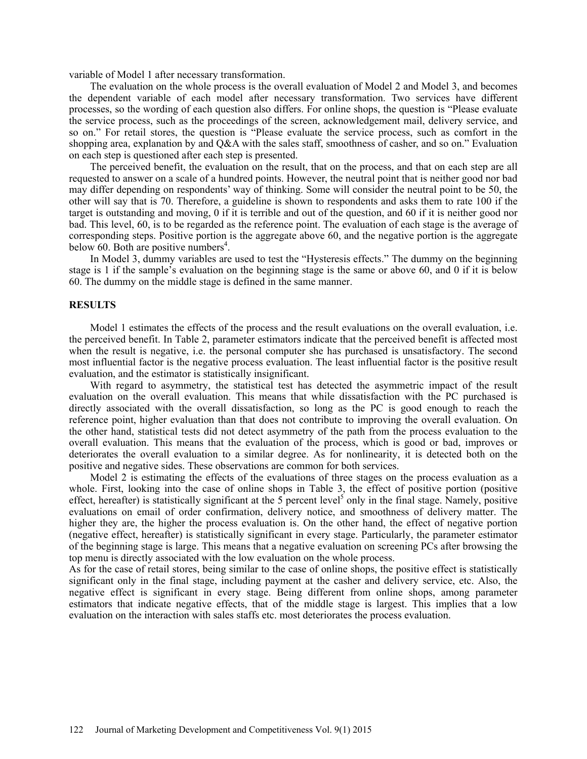variable of Model 1 after necessary transformation.

The evaluation on the whole process is the overall evaluation of Model 2 and Model 3, and becomes the dependent variable of each model after necessary transformation. Two services have different processes, so the wording of each question also differs. For online shops, the question is "Please evaluate the service process, such as the proceedings of the screen, acknowledgement mail, delivery service, and so on." For retail stores, the question is "Please evaluate the service process, such as comfort in the shopping area, explanation by and Q&A with the sales staff, smoothness of casher, and so on." Evaluation on each step is questioned after each step is presented.

The perceived benefit, the evaluation on the result, that on the process, and that on each step are all requested to answer on a scale of a hundred points. However, the neutral point that is neither good nor bad may differ depending on respondents' way of thinking. Some will consider the neutral point to be 50, the other will say that is 70. Therefore, a guideline is shown to respondents and asks them to rate 100 if the target is outstanding and moving, 0 if it is terrible and out of the question, and 60 if it is neither good nor bad. This level, 60, is to be regarded as the reference point. The evaluation of each stage is the average of corresponding steps. Positive portion is the aggregate above 60, and the negative portion is the aggregate below 60. Both are positive numbers<sup>4</sup>.

In Model 3, dummy variables are used to test the "Hysteresis effects." The dummy on the beginning stage is 1 if the sample's evaluation on the beginning stage is the same or above 60, and 0 if it is below 60. The dummy on the middle stage is defined in the same manner.

#### **RESULTS**

Model 1 estimates the effects of the process and the result evaluations on the overall evaluation, i.e. the perceived benefit. In Table 2, parameter estimators indicate that the perceived benefit is affected most when the result is negative, i.e. the personal computer she has purchased is unsatisfactory. The second most influential factor is the negative process evaluation. The least influential factor is the positive result evaluation, and the estimator is statistically insignificant.

With regard to asymmetry, the statistical test has detected the asymmetric impact of the result evaluation on the overall evaluation. This means that while dissatisfaction with the PC purchased is directly associated with the overall dissatisfaction, so long as the PC is good enough to reach the reference point, higher evaluation than that does not contribute to improving the overall evaluation. On the other hand, statistical tests did not detect asymmetry of the path from the process evaluation to the overall evaluation. This means that the evaluation of the process, which is good or bad, improves or deteriorates the overall evaluation to a similar degree. As for nonlinearity, it is detected both on the positive and negative sides. These observations are common for both services.

Model 2 is estimating the effects of the evaluations of three stages on the process evaluation as a whole. First, looking into the case of online shops in Table 3, the effect of positive portion (positive effect, hereafter) is statistically significant at the 5 percent level<sup>5</sup> only in the final stage. Namely, positive evaluations on email of order confirmation, delivery notice, and smoothness of delivery matter. The higher they are, the higher the process evaluation is. On the other hand, the effect of negative portion (negative effect, hereafter) is statistically significant in every stage. Particularly, the parameter estimator of the beginning stage is large. This means that a negative evaluation on screening PCs after browsing the top menu is directly associated with the low evaluation on the whole process.

As for the case of retail stores, being similar to the case of online shops, the positive effect is statistically significant only in the final stage, including payment at the casher and delivery service, etc. Also, the negative effect is significant in every stage. Being different from online shops, among parameter estimators that indicate negative effects, that of the middle stage is largest. This implies that a low evaluation on the interaction with sales staffs etc. most deteriorates the process evaluation.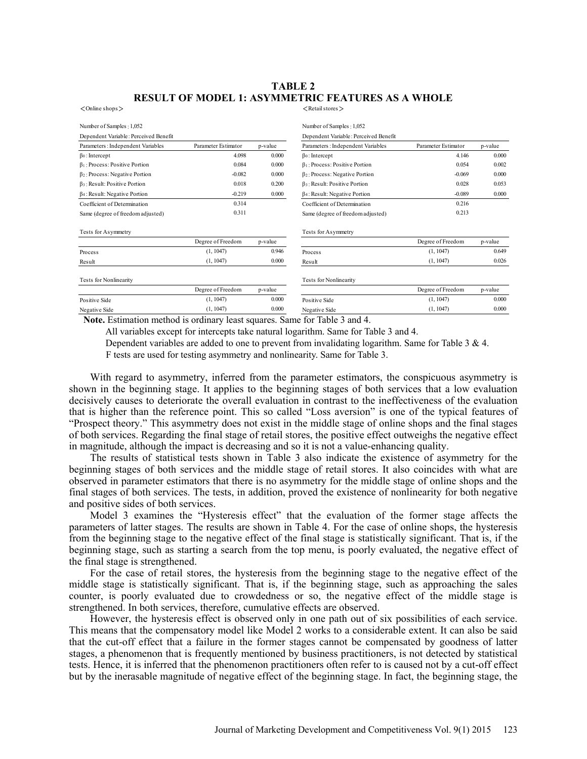## **TABLE 2 RESULT OF MODEL 1: ASYMMETRIC FEATURES AS A WHOLE**

 $\langle$  Online shops  $\rangle$   $\langle$  Retail stores  $\rangle$ 

| Number of Samples: 1,052              |                     |         | Number of Samples: 1,052              |                     |         |
|---------------------------------------|---------------------|---------|---------------------------------------|---------------------|---------|
| Dependent Variable: Perceived Benefit |                     |         | Dependent Variable: Perceived Benefit |                     |         |
| Parameters : Independent Variables    | Parameter Estimator | p-value | Parameters : Independent Variables    | Parameter Estimator | p-value |
| $\beta$ <sup>0</sup> : Intercept      | 4.098               | 0.000   | $\beta$ <sup>o</sup> : Intercept      | 4.146               | 0.000   |
| $\beta$ 1: Process: Positive Portion  | 0.084               | 0.000   | $\beta$ 1: Process: Positive Portion  | 0.054               | 0.002   |
| $\beta_2$ : Process: Negative Portion | $-0.082$            | 0.000   | $\beta_2$ : Process: Negative Portion | $-0.069$            | 0.000   |
| $\beta_3$ : Result: Positive Portion  | 0.018               | 0.200   | $\beta_3$ : Result: Positive Portion  | 0.028               | 0.053   |
| $\beta$ 4: Result: Negative Portion   | $-0.219$            | 0.000   | $\beta$ 4: Result: Negative Portion   | $-0.089$            | 0.000   |
| Coefficient of Determination          | 0.314               |         | Coefficient of Determination          | 0.216               |         |
| Same (degree of freedom adjusted)     | 0.311               |         | Same (degree of freedom adjusted)     | 0.213               |         |
| Tests for Asymmetry                   |                     |         | Tests for Asymmetry                   |                     |         |
|                                       | Degree of Freedom   | p-value |                                       | Degree of Freedom   | p-value |
| <b>Process</b>                        | (1, 1047)           | 0.946   | Process                               | (1, 1047)           | 0.649   |
| Result                                | (1, 1047)           | 0.000   | Result                                | (1, 1047)           | 0.026   |
| <b>Tests for Nonlinearity</b>         |                     |         | <b>Tests for Nonlinearity</b>         |                     |         |
|                                       | Degree of Freedom   | p-value |                                       | Degree of Freedom   | p-value |
| Positive Side                         | (1, 1047)           | 0.000   | Positive Side                         | (1, 1047)           | 0.000   |
| Negative Side                         | (1, 1047)           | 0.000   | Negative Side                         | (1, 1047)           | 0.000   |
| $\sim$ $\sim$                         |                     |         | $\sim$ $\sim$                         |                     |         |

**Note.** Estimation method is ordinary least squares. Same for Table 3 and 4.

All variables except for intercepts take natural logarithm. Same for Table 3 and 4.

Dependent variables are added to one to prevent from invalidating logarithm. Same for Table  $3 \& 4$ .

F tests are used for testing asymmetry and nonlinearity. Same for Table 3.

With regard to asymmetry, inferred from the parameter estimators, the conspicuous asymmetry is shown in the beginning stage. It applies to the beginning stages of both services that a low evaluation decisively causes to deteriorate the overall evaluation in contrast to the ineffectiveness of the evaluation that is higher than the reference point. This so called "Loss aversion" is one of the typical features of "Prospect theory." This asymmetry does not exist in the middle stage of online shops and the final stages of both services. Regarding the final stage of retail stores, the positive effect outweighs the negative effect in magnitude, although the impact is decreasing and so it is not a value-enhancing quality.

The results of statistical tests shown in Table 3 also indicate the existence of asymmetry for the beginning stages of both services and the middle stage of retail stores. It also coincides with what are observed in parameter estimators that there is no asymmetry for the middle stage of online shops and the final stages of both services. The tests, in addition, proved the existence of nonlinearity for both negative and positive sides of both services.

Model 3 examines the "Hysteresis effect" that the evaluation of the former stage affects the parameters of latter stages. The results are shown in Table 4. For the case of online shops, the hysteresis from the beginning stage to the negative effect of the final stage is statistically significant. That is, if the beginning stage, such as starting a search from the top menu, is poorly evaluated, the negative effect of the final stage is strengthened.

For the case of retail stores, the hysteresis from the beginning stage to the negative effect of the middle stage is statistically significant. That is, if the beginning stage, such as approaching the sales counter, is poorly evaluated due to crowdedness or so, the negative effect of the middle stage is strengthened. In both services, therefore, cumulative effects are observed.

However, the hysteresis effect is observed only in one path out of six possibilities of each service. This means that the compensatory model like Model 2 works to a considerable extent. It can also be said that the cut-off effect that a failure in the former stages cannot be compensated by goodness of latter stages, a phenomenon that is frequently mentioned by business practitioners, is not detected by statistical tests. Hence, it is inferred that the phenomenon practitioners often refer to is caused not by a cut-off effect but by the inerasable magnitude of negative effect of the beginning stage. In fact, the beginning stage, the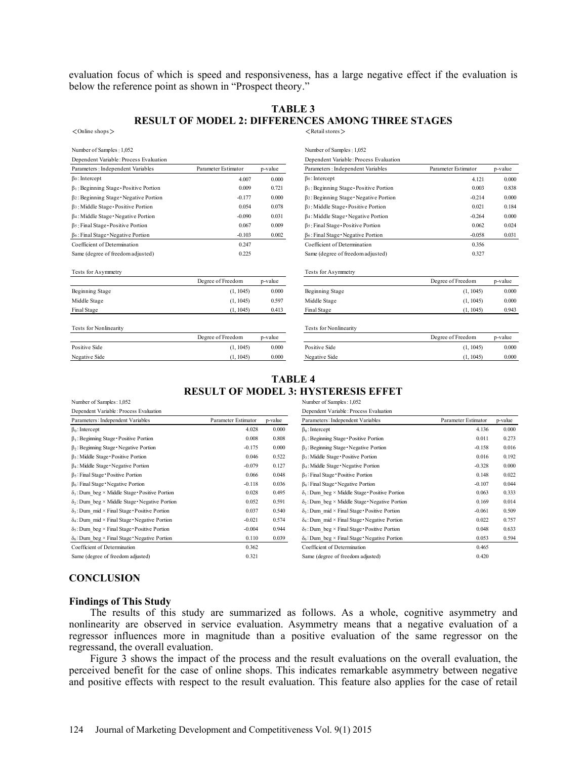evaluation focus of which is speed and responsiveness, has a large negative effect if the evaluation is below the reference point as shown in "Prospect theory."

#### **TABLE 3 RESULT OF MODEL 2: DIFFERENCES AMONG THREE STAGES**   $\langle$  Online shops  $>$   $\langle$  Retail stores  $>$

| Dependent Variable: Process Evaluation<br>Dependent Variable: Process Evaluation<br>Parameter Estimator<br>Parameter Estimator<br>Parameters: Independent Variables<br>p-value<br>Parameters: Independent Variables<br>p-value<br>$\beta$ <sup>o</sup> : Intercept<br>$\beta$ <sup>o</sup> : Intercept<br>4.007<br>0.000<br>0.000<br>4.121<br>0.721<br>0.838<br>$\beta$ 1: Beginning Stage Positive Portion<br>0.009<br>$\beta$ 1: Beginning Stage Positive Portion<br>0.003<br>0.000<br>$\beta$ 2: Beginning Stage - Negative Portion<br>0.000<br>$\beta$ <sub>2</sub> ; Beginning Stage Negative Portion<br>$-0.214$<br>$-0.177$<br>0.184<br>β <sub>3</sub> : Middle Stage Positive Portion<br>0.054<br>0.078<br>β <sub>3</sub> : Middle Stage Positive Portion<br>0.021<br>0.000<br>$-0.090$<br>0.031<br>$\beta_4$ : Middle Stage - Negative Portion<br>$-0.264$<br>$\beta_4$ : Middle Stage Negative Portion<br>0.009<br>β <sub>5</sub> : Final Stage · Positive Portion<br>0.062<br>0.024<br>β5: Final Stage Positive Portion<br>0.067<br>0.031<br>$-0.058$<br>$\beta_6$ : Final Stage - Negative Portion<br>$-0.103$<br>0.002<br>$\beta_6$ : Final Stage - Negative Portion<br>Coefficient of Determination<br>Coefficient of Determination<br>0.247<br>0.356<br>0.327<br>Same (degree of freedom adjusted)<br>0.225<br>Same (degree of freedom adjusted)<br>Tests for Asymmetry<br>Tests for Asymmetry<br>Degree of Freedom<br>Degree of Freedom<br>p-value<br>p-value<br>0.000<br>0.000<br>Beginning Stage<br>(1, 1045)<br>Beginning Stage<br>(1, 1045)<br>0.000<br>Middle Stage<br>(1, 1045)<br>0.597<br>Middle Stage<br>(1, 1045)<br>0.943<br>Final Stage<br>(1, 1045)<br>0.413<br>Final Stage<br>(1, 1045)<br><b>Tests for Nonlinearity</b><br><b>Tests for Nonlinearity</b><br>Degree of Freedom<br>Degree of Freedom<br>p-value<br>p-value<br>Positive Side<br>Positive Side<br>(1, 1045)<br>0.000<br>0.000<br>(1, 1045)<br>(1, 1045)<br>0.000<br>Negative Side<br>0.000<br>Negative Side<br>(1, 1045) | Number of Samples: 1,052 |  | Number of Samples: 1,052 |  |
|---------------------------------------------------------------------------------------------------------------------------------------------------------------------------------------------------------------------------------------------------------------------------------------------------------------------------------------------------------------------------------------------------------------------------------------------------------------------------------------------------------------------------------------------------------------------------------------------------------------------------------------------------------------------------------------------------------------------------------------------------------------------------------------------------------------------------------------------------------------------------------------------------------------------------------------------------------------------------------------------------------------------------------------------------------------------------------------------------------------------------------------------------------------------------------------------------------------------------------------------------------------------------------------------------------------------------------------------------------------------------------------------------------------------------------------------------------------------------------------------------------------------------------------------------------------------------------------------------------------------------------------------------------------------------------------------------------------------------------------------------------------------------------------------------------------------------------------------------------------------------------------------------------------------------------------------------------------------------------------------------------------------|--------------------------|--|--------------------------|--|
|                                                                                                                                                                                                                                                                                                                                                                                                                                                                                                                                                                                                                                                                                                                                                                                                                                                                                                                                                                                                                                                                                                                                                                                                                                                                                                                                                                                                                                                                                                                                                                                                                                                                                                                                                                                                                                                                                                                                                                                                                     |                          |  |                          |  |
|                                                                                                                                                                                                                                                                                                                                                                                                                                                                                                                                                                                                                                                                                                                                                                                                                                                                                                                                                                                                                                                                                                                                                                                                                                                                                                                                                                                                                                                                                                                                                                                                                                                                                                                                                                                                                                                                                                                                                                                                                     |                          |  |                          |  |
|                                                                                                                                                                                                                                                                                                                                                                                                                                                                                                                                                                                                                                                                                                                                                                                                                                                                                                                                                                                                                                                                                                                                                                                                                                                                                                                                                                                                                                                                                                                                                                                                                                                                                                                                                                                                                                                                                                                                                                                                                     |                          |  |                          |  |
|                                                                                                                                                                                                                                                                                                                                                                                                                                                                                                                                                                                                                                                                                                                                                                                                                                                                                                                                                                                                                                                                                                                                                                                                                                                                                                                                                                                                                                                                                                                                                                                                                                                                                                                                                                                                                                                                                                                                                                                                                     |                          |  |                          |  |
|                                                                                                                                                                                                                                                                                                                                                                                                                                                                                                                                                                                                                                                                                                                                                                                                                                                                                                                                                                                                                                                                                                                                                                                                                                                                                                                                                                                                                                                                                                                                                                                                                                                                                                                                                                                                                                                                                                                                                                                                                     |                          |  |                          |  |
|                                                                                                                                                                                                                                                                                                                                                                                                                                                                                                                                                                                                                                                                                                                                                                                                                                                                                                                                                                                                                                                                                                                                                                                                                                                                                                                                                                                                                                                                                                                                                                                                                                                                                                                                                                                                                                                                                                                                                                                                                     |                          |  |                          |  |
|                                                                                                                                                                                                                                                                                                                                                                                                                                                                                                                                                                                                                                                                                                                                                                                                                                                                                                                                                                                                                                                                                                                                                                                                                                                                                                                                                                                                                                                                                                                                                                                                                                                                                                                                                                                                                                                                                                                                                                                                                     |                          |  |                          |  |
|                                                                                                                                                                                                                                                                                                                                                                                                                                                                                                                                                                                                                                                                                                                                                                                                                                                                                                                                                                                                                                                                                                                                                                                                                                                                                                                                                                                                                                                                                                                                                                                                                                                                                                                                                                                                                                                                                                                                                                                                                     |                          |  |                          |  |
|                                                                                                                                                                                                                                                                                                                                                                                                                                                                                                                                                                                                                                                                                                                                                                                                                                                                                                                                                                                                                                                                                                                                                                                                                                                                                                                                                                                                                                                                                                                                                                                                                                                                                                                                                                                                                                                                                                                                                                                                                     |                          |  |                          |  |
|                                                                                                                                                                                                                                                                                                                                                                                                                                                                                                                                                                                                                                                                                                                                                                                                                                                                                                                                                                                                                                                                                                                                                                                                                                                                                                                                                                                                                                                                                                                                                                                                                                                                                                                                                                                                                                                                                                                                                                                                                     |                          |  |                          |  |
|                                                                                                                                                                                                                                                                                                                                                                                                                                                                                                                                                                                                                                                                                                                                                                                                                                                                                                                                                                                                                                                                                                                                                                                                                                                                                                                                                                                                                                                                                                                                                                                                                                                                                                                                                                                                                                                                                                                                                                                                                     |                          |  |                          |  |
|                                                                                                                                                                                                                                                                                                                                                                                                                                                                                                                                                                                                                                                                                                                                                                                                                                                                                                                                                                                                                                                                                                                                                                                                                                                                                                                                                                                                                                                                                                                                                                                                                                                                                                                                                                                                                                                                                                                                                                                                                     |                          |  |                          |  |
|                                                                                                                                                                                                                                                                                                                                                                                                                                                                                                                                                                                                                                                                                                                                                                                                                                                                                                                                                                                                                                                                                                                                                                                                                                                                                                                                                                                                                                                                                                                                                                                                                                                                                                                                                                                                                                                                                                                                                                                                                     |                          |  |                          |  |
|                                                                                                                                                                                                                                                                                                                                                                                                                                                                                                                                                                                                                                                                                                                                                                                                                                                                                                                                                                                                                                                                                                                                                                                                                                                                                                                                                                                                                                                                                                                                                                                                                                                                                                                                                                                                                                                                                                                                                                                                                     |                          |  |                          |  |
|                                                                                                                                                                                                                                                                                                                                                                                                                                                                                                                                                                                                                                                                                                                                                                                                                                                                                                                                                                                                                                                                                                                                                                                                                                                                                                                                                                                                                                                                                                                                                                                                                                                                                                                                                                                                                                                                                                                                                                                                                     |                          |  |                          |  |
|                                                                                                                                                                                                                                                                                                                                                                                                                                                                                                                                                                                                                                                                                                                                                                                                                                                                                                                                                                                                                                                                                                                                                                                                                                                                                                                                                                                                                                                                                                                                                                                                                                                                                                                                                                                                                                                                                                                                                                                                                     |                          |  |                          |  |
|                                                                                                                                                                                                                                                                                                                                                                                                                                                                                                                                                                                                                                                                                                                                                                                                                                                                                                                                                                                                                                                                                                                                                                                                                                                                                                                                                                                                                                                                                                                                                                                                                                                                                                                                                                                                                                                                                                                                                                                                                     |                          |  |                          |  |
|                                                                                                                                                                                                                                                                                                                                                                                                                                                                                                                                                                                                                                                                                                                                                                                                                                                                                                                                                                                                                                                                                                                                                                                                                                                                                                                                                                                                                                                                                                                                                                                                                                                                                                                                                                                                                                                                                                                                                                                                                     |                          |  |                          |  |
|                                                                                                                                                                                                                                                                                                                                                                                                                                                                                                                                                                                                                                                                                                                                                                                                                                                                                                                                                                                                                                                                                                                                                                                                                                                                                                                                                                                                                                                                                                                                                                                                                                                                                                                                                                                                                                                                                                                                                                                                                     |                          |  |                          |  |
|                                                                                                                                                                                                                                                                                                                                                                                                                                                                                                                                                                                                                                                                                                                                                                                                                                                                                                                                                                                                                                                                                                                                                                                                                                                                                                                                                                                                                                                                                                                                                                                                                                                                                                                                                                                                                                                                                                                                                                                                                     |                          |  |                          |  |

|                     |         | Number of Samples: 1,052                                  |                     |         |
|---------------------|---------|-----------------------------------------------------------|---------------------|---------|
|                     |         | Dependent Variable: Process Evaluation                    |                     |         |
| Parameter Estimator | p-value | Parameters: Independent Variables                         | Parameter Estimator | p-value |
| 4.007               | 0.000   | $\beta$ : Intercept                                       | 4.121               | 0.000   |
| 0.009               | 0.721   | $\beta_1$ : Beginning Stage Positive Portion              | 0.003               | 0.838   |
| $-0.177$            | 0.000   | $\beta$ <sub>2</sub> : Beginning Stage - Negative Portion | $-0.214$            | 0.000   |
| 0.054               | 0.078   | $\beta$ 3: Middle Stage - Positive Portion                | 0.021               | 0.184   |
| $-0.090$            | 0.031   | $\beta_4$ : Middle Stage Negative Portion                 | $-0.264$            | 0.000   |
| 0.067               | 0.009   | β <sub>5</sub> : Final Stage Positive Portion             | 0.062               | 0.024   |
| $-0.103$            | 0.002   | $\beta_6$ : Final Stage - Negative Portion                | $-0.058$            | 0.031   |
| 0.247               |         | Coefficient of Determination                              | 0.356               |         |
| 0.225               |         | Same (degree of freedom adjusted)                         | 0.327               |         |
|                     |         | Tests for Asymmetry                                       |                     |         |
| Degree of Freedom   | p-value |                                                           | Degree of Freedom   | p-value |

|                 | DOLIVE OF FIGGOIN | D-value |  |
|-----------------|-------------------|---------|--|
| Beginning Stage | (1, 1045)         | 0.000   |  |
| Middle Stage    | (1, 1045)         | 0.000   |  |
| Final Stage     | (1, 1045)         | 0.943   |  |
|                 |                   |         |  |

#### Tests for Nonlinearity Tests for Nonlinearity

| Degree of Freedom | p-value | Degree of Freedom          | p-value    |
|-------------------|---------|----------------------------|------------|
| (1, 1045)         | 0.000   | Positive Side<br>(1.1045)  | 0.000      |
| 1045              | 0.000   | (1. 1045)<br>Negative Side | $_{0.000}$ |

## **TABLE 4 RESULT OF MODEL 3: HYSTERESIS EFFET**

| Number of Samples: 1,052                               |                     | Number of Samples: 1,052<br>Dependent Variable: Process Evaluation |                                                       |                     |         |
|--------------------------------------------------------|---------------------|--------------------------------------------------------------------|-------------------------------------------------------|---------------------|---------|
| Dependent Variable: Process Evaluation                 |                     |                                                                    |                                                       |                     |         |
| Parameters: Independent Variables                      | Parameter Estimator | p-value                                                            | Parameters: Independent Variables                     | Parameter Estimator | p-value |
| $\beta_0$ : Intercept                                  | 4.028               | 0.000                                                              | $\beta_0$ : Intercept                                 | 4.136               | 0.000   |
| $\beta_1$ : Beginning Stage Positive Portion           | 0.008               | 0.808                                                              | $\beta_1$ : Beginning Stage Positive Portion          | 0.011               | 0.273   |
| $\beta_2$ : Beginning Stage Negative Portion           | $-0.175$            | 0.000                                                              | $\beta_2$ : Beginning Stage Negative Portion          | $-0.158$            | 0.016   |
| $\beta_3$ : Middle Stage Positive Portion              | 0.046               | 0.522                                                              | $\beta_3$ : Middle Stage Positive Portion             | 0.016               | 0.192   |
| $\beta_4$ : Middle Stage Negative Portion              | $-0.079$            | 0.127                                                              | $\beta_4$ : Middle Stage Negative Portion             | $-0.328$            | 0.000   |
| $\beta_5$ : Final Stage Positive Portion               | 0.066               | 0.048                                                              | $\beta_5$ : Final Stage Positive Portion              | 0.148               | 0.022   |
| $\beta_6$ : Final Stage Negative Portion               | $-0.118$            | 0.036                                                              | $\beta_6$ : Final Stage Negative Portion              | $-0.107$            | 0.044   |
| $\delta_1$ : Dum beg × Middle Stage Positive Portion   | 0.028               | 0.495                                                              | $\delta_1$ : Dum beg × Middle Stage Positive Portion  | 0.063               | 0.333   |
| $\delta_2$ : Dum beg × Middle Stage · Negative Portion | 0.052               | 0.591                                                              | $\delta_2$ : Dum beg × Middle Stage Negative Portion  | 0.169               | 0.014   |
| $\delta_3$ : Dum mid × Final Stage · Positive Portion  | 0.037               | 0.540                                                              | $\delta_3$ : Dum mid × Final Stage · Positive Portion | $-0.061$            | 0.509   |
| $\delta_4$ : Dum mid × Final Stage · Negative Portion  | $-0.021$            | 0.574                                                              | $\delta_4$ : Dum mid × Final Stage · Negative Portion | 0.022               | 0.757   |
| $\delta_5$ : Dum beg × Final Stage Positive Portion    | $-0.004$            | 0.944                                                              | $\delta_5$ : Dum beg × Final Stage Positive Portion   | 0.048               | 0.633   |
| $\delta_6$ : Dum beg × Final Stage Negative Portion    | 0.110               | 0.039                                                              | $\delta_6$ : Dum beg × Final Stage Negative Portion   | 0.053               | 0.594   |
| Coefficient of Determination                           | 0.362               |                                                                    | Coefficient of Determination                          | 0.465               |         |
| Same (degree of freedom adjusted)                      | 0.321               |                                                                    | Same (degree of freedom adjusted)                     | 0.420               |         |

#### **CONCLUSION**

## **Findings of This Study**

The results of this study are summarized as follows. As a whole, cognitive asymmetry and nonlinearity are observed in service evaluation. Asymmetry means that a negative evaluation of a regressor influences more in magnitude than a positive evaluation of the same regressor on the regressand, the overall evaluation.

Figure 3 shows the impact of the process and the result evaluations on the overall evaluation, the perceived benefit for the case of online shops. This indicates remarkable asymmetry between negative and positive effects with respect to the result evaluation. This feature also applies for the case of retail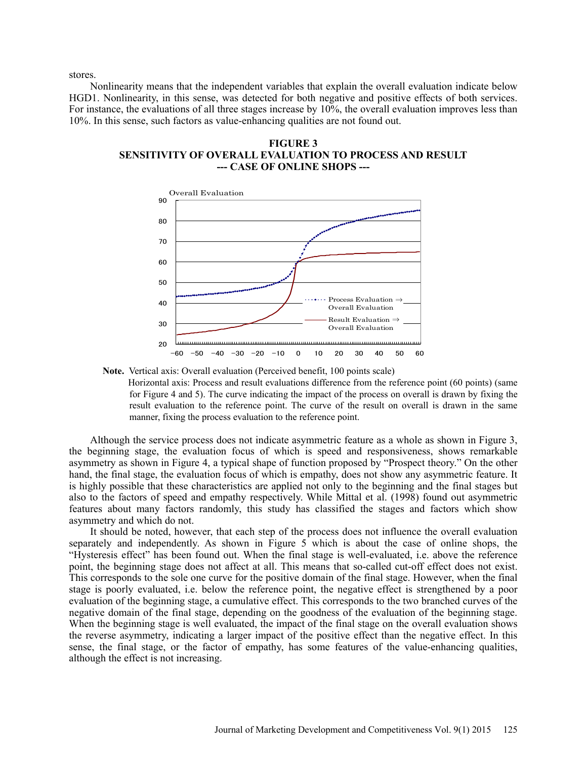stores.

Nonlinearity means that the independent variables that explain the overall evaluation indicate below HGD1. Nonlinearity, in this sense, was detected for both negative and positive effects of both services. For instance, the evaluations of all three stages increase by 10%, the overall evaluation improves less than 10%. In this sense, such factors as value-enhancing qualities are not found out.

**FIGURE 3 SENSITIVITY OF OVERALL EVALUATION TO PROCESS AND RESULT --- CASE OF ONLINE SHOPS ---** 



**Note.** Vertical axis: Overall evaluation (Perceived benefit, 100 points scale)

 Horizontal axis: Process and result evaluations difference from the reference point (60 points) (same for Figure 4 and 5). The curve indicating the impact of the process on overall is drawn by fixing the result evaluation to the reference point. The curve of the result on overall is drawn in the same manner, fixing the process evaluation to the reference point.

Although the service process does not indicate asymmetric feature as a whole as shown in Figure 3, the beginning stage, the evaluation focus of which is speed and responsiveness, shows remarkable asymmetry as shown in Figure 4, a typical shape of function proposed by "Prospect theory." On the other hand, the final stage, the evaluation focus of which is empathy, does not show any asymmetric feature. It is highly possible that these characteristics are applied not only to the beginning and the final stages but also to the factors of speed and empathy respectively. While Mittal et al. (1998) found out asymmetric features about many factors randomly, this study has classified the stages and factors which show asymmetry and which do not.

It should be noted, however, that each step of the process does not influence the overall evaluation separately and independently. As shown in Figure 5 which is about the case of online shops, the "Hysteresis effect" has been found out. When the final stage is well-evaluated, i.e. above the reference point, the beginning stage does not affect at all. This means that so-called cut-off effect does not exist. This corresponds to the sole one curve for the positive domain of the final stage. However, when the final stage is poorly evaluated, i.e. below the reference point, the negative effect is strengthened by a poor evaluation of the beginning stage, a cumulative effect. This corresponds to the two branched curves of the negative domain of the final stage, depending on the goodness of the evaluation of the beginning stage. When the beginning stage is well evaluated, the impact of the final stage on the overall evaluation shows the reverse asymmetry, indicating a larger impact of the positive effect than the negative effect. In this sense, the final stage, or the factor of empathy, has some features of the value-enhancing qualities, although the effect is not increasing.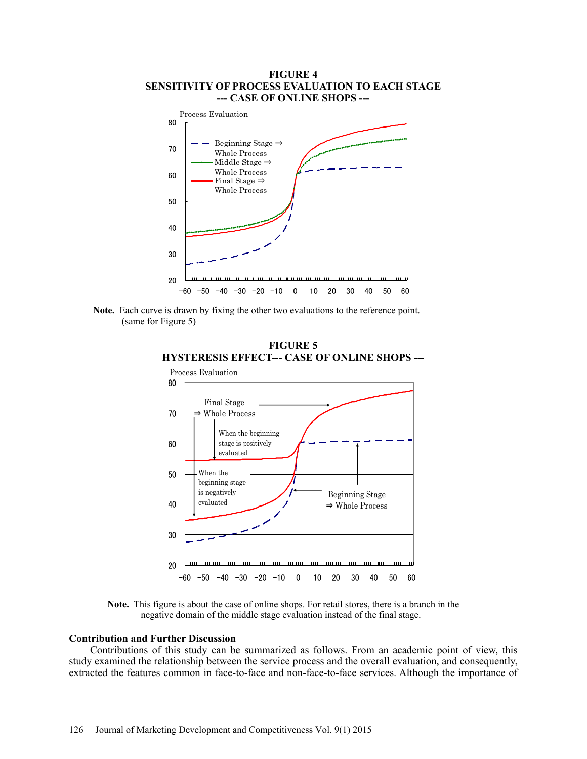## **FIGURE 4 SENSITIVITY OF PROCESS EVALUATION TO EACH STAGE --- CASE OF ONLINE SHOPS ---**



 **Note.** Each curve is drawn by fixing the other two evaluations to the reference point. (same for Figure 5)





**Note.** This figure is about the case of online shops. For retail stores, there is a branch in the negative domain of the middle stage evaluation instead of the final stage.

## **Contribution and Further Discussion**

Contributions of this study can be summarized as follows. From an academic point of view, this study examined the relationship between the service process and the overall evaluation, and consequently, extracted the features common in face-to-face and non-face-to-face services. Although the importance of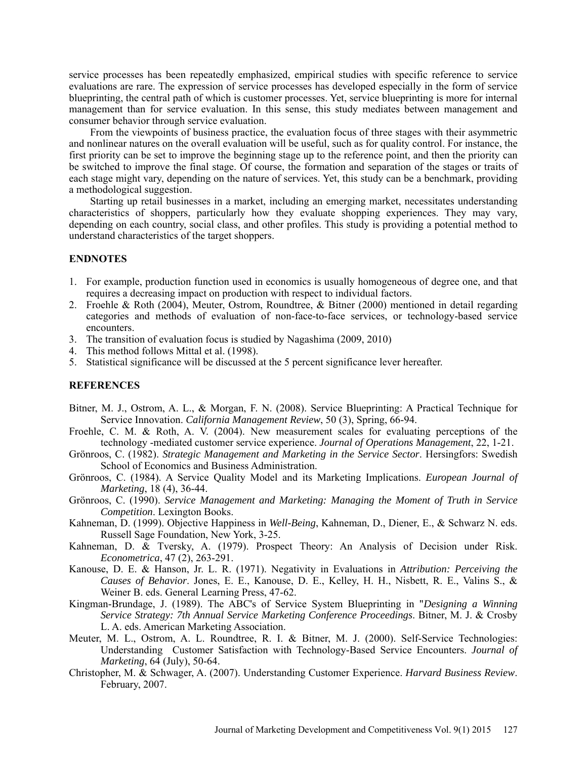service processes has been repeatedly emphasized, empirical studies with specific reference to service evaluations are rare. The expression of service processes has developed especially in the form of service blueprinting, the central path of which is customer processes. Yet, service blueprinting is more for internal management than for service evaluation. In this sense, this study mediates between management and consumer behavior through service evaluation.

From the viewpoints of business practice, the evaluation focus of three stages with their asymmetric and nonlinear natures on the overall evaluation will be useful, such as for quality control. For instance, the first priority can be set to improve the beginning stage up to the reference point, and then the priority can be switched to improve the final stage. Of course, the formation and separation of the stages or traits of each stage might vary, depending on the nature of services. Yet, this study can be a benchmark, providing a methodological suggestion.

Starting up retail businesses in a market, including an emerging market, necessitates understanding characteristics of shoppers, particularly how they evaluate shopping experiences. They may vary, depending on each country, social class, and other profiles. This study is providing a potential method to understand characteristics of the target shoppers.

## **ENDNOTES**

- 1. For example, production function used in economics is usually homogeneous of degree one, and that requires a decreasing impact on production with respect to individual factors.
- 2. Froehle & Roth (2004), Meuter, Ostrom, Roundtree, & Bitner (2000) mentioned in detail regarding categories and methods of evaluation of non-face-to-face services, or technology-based service encounters.
- 3. The transition of evaluation focus is studied by Nagashima (2009, 2010)
- 4. This method follows Mittal et al. (1998).
- 5. Statistical significance will be discussed at the 5 percent significance lever hereafter.

## **REFERENCES**

- Bitner, M. J., Ostrom, A. L., & Morgan, F. N. (2008). Service Blueprinting: A Practical Technique for Service Innovation. *California Management Review*, 50 (3), Spring, 66-94.
- Froehle, C. M. & Roth, A. V. (2004). New measurement scales for evaluating perceptions of the technology -mediated customer service experience. *Journal of Operations Management*, 22, 1-21.
- Grönroos, C. (1982). *Strategic Management and Marketing in the Service Sector*. Hersingfors: Swedish School of Economics and Business Administration.
- Grönroos, C. (1984). A Service Quality Model and its Marketing Implications. *European Journal of Marketing*, 18 (4), 36-44.
- Grönroos, C. (1990). *Service Management and Marketing: Managing the Moment of Truth in Service Competition*. Lexington Books.
- Kahneman, D. (1999). Objective Happiness in *Well-Being*, Kahneman, D., Diener, E., & Schwarz N. eds. Russell Sage Foundation, New York, 3-25.
- Kahneman, D. & Tversky, A. (1979). Prospect Theory: An Analysis of Decision under Risk. *Econometrica*, 47 (2), 263-291.
- Kanouse, D. E. & Hanson, Jr. L. R. (1971). Negativity in Evaluations in *Attribution: Perceiving the Causes of Behavior*. Jones, E. E., Kanouse, D. E., Kelley, H. H., Nisbett, R. E., Valins S., & Weiner B. eds. General Learning Press, 47-62.
- Kingman-Brundage, J. (1989). The ABC's of Service System Blueprinting in "*Designing a Winning Service Strategy: 7th Annual Service Marketing Conference Proceedings*. Bitner, M. J. & Crosby L. A. eds. American Marketing Association.
- Meuter, M. L., Ostrom, A. L. Roundtree, R. I. & Bitner, M. J. (2000). Self-Service Technologies: Understanding Customer Satisfaction with Technology-Based Service Encounters. *Journal of Marketing*, 64 (July), 50-64.
- Christopher, M. & Schwager, A. (2007). Understanding Customer Experience. *Harvard Business Review*. February, 2007.